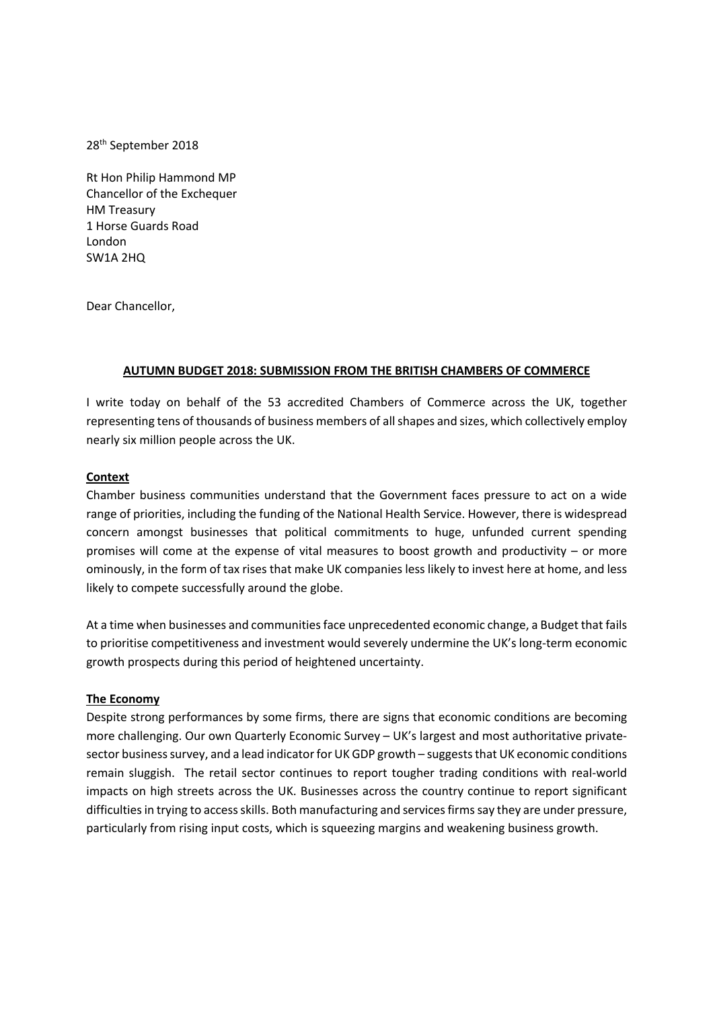28th September 2018

Rt Hon Philip Hammond MP Chancellor of the Exchequer HM Treasury 1 Horse Guards Road London SW1A 2HQ

Dear Chancellor,

#### **AUTUMN BUDGET 2018: SUBMISSION FROM THE BRITISH CHAMBERS OF COMMERCE**

I write today on behalf of the 53 accredited Chambers of Commerce across the UK, together representing tens of thousands of business members of all shapes and sizes, which collectively employ nearly six million people across the UK.

#### **Context**

Chamber business communities understand that the Government faces pressure to act on a wide range of priorities, including the funding of the National Health Service. However, there is widespread concern amongst businesses that political commitments to huge, unfunded current spending promises will come at the expense of vital measures to boost growth and productivity – or more ominously, in the form of tax rises that make UK companies less likely to invest here at home, and less likely to compete successfully around the globe.

At a time when businesses and communities face unprecedented economic change, a Budget that fails to prioritise competitiveness and investment would severely undermine the UK's long-term economic growth prospects during this period of heightened uncertainty.

#### **The Economy**

Despite strong performances by some firms, there are signs that economic conditions are becoming more challenging. Our own Quarterly Economic Survey – UK's largest and most authoritative privatesector business survey, and a lead indicator for UK GDP growth – suggests that UK economic conditions remain sluggish. The retail sector continues to report tougher trading conditions with real-world impacts on high streets across the UK. Businesses across the country continue to report significant difficulties in trying to access skills. Both manufacturing and services firms say they are under pressure, particularly from rising input costs, which is squeezing margins and weakening business growth.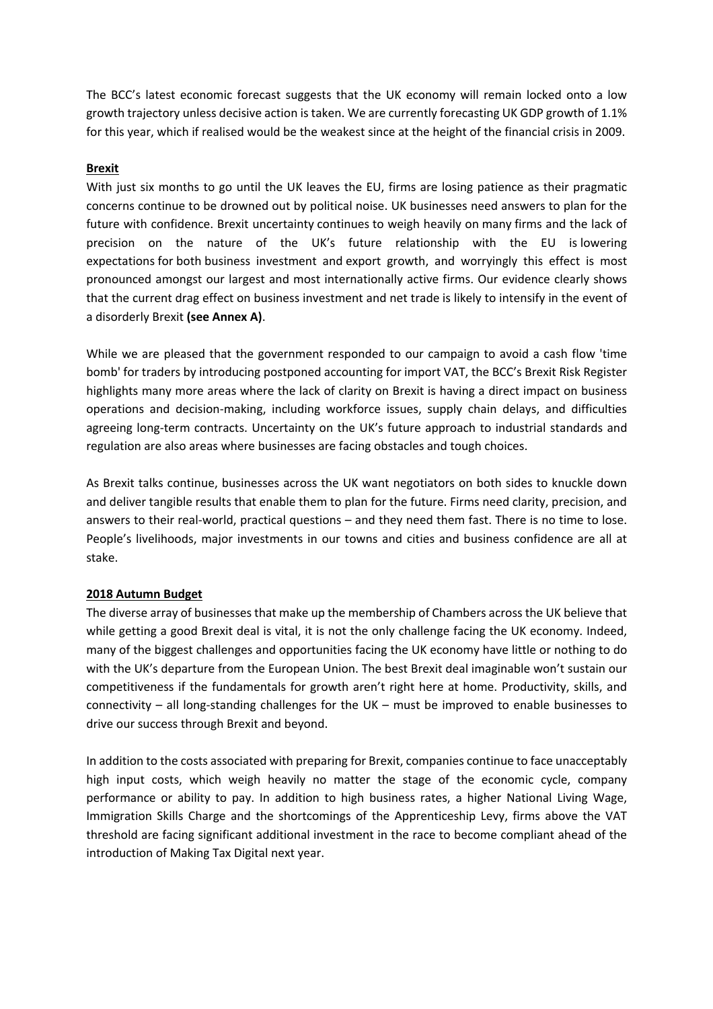The BCC's latest economic forecast suggests that the UK economy will remain locked onto a low growth trajectory unless decisive action is taken. We are currently forecasting UK GDP growth of 1.1% for this year, which if realised would be the weakest since at the height of the financial crisis in 2009.

## **Brexit**

With just six months to go until the UK leaves the EU, firms are losing patience as their pragmatic concerns continue to be drowned out by political noise. UK businesses need answers to plan for the future with confidence. Brexit uncertainty continues to weigh heavily on many firms and the lack of precision on the nature of the UK's future relationship with the EU is lowering expectations for both business investment and export growth, and worryingly this effect is most pronounced amongst our largest and most internationally active firms. Our evidence clearly shows that the current drag effect on business investment and net trade is likely to intensify in the event of a disorderly Brexit **(see Annex A)**.

While we are pleased that the government responded to our campaign to avoid a cash flow 'time bomb' for traders by introducing postponed accounting for import VAT, the BCC's Brexit Risk Register highlights many more areas where the lack of clarity on Brexit is having a direct impact on business operations and decision-making, including workforce issues, supply chain delays, and difficulties agreeing long-term contracts. Uncertainty on the UK's future approach to industrial standards and regulation are also areas where businesses are facing obstacles and tough choices.

As Brexit talks continue, businesses across the UK want negotiators on both sides to knuckle down and deliver tangible results that enable them to plan for the future. Firms need clarity, precision, and answers to their real-world, practical questions – and they need them fast. There is no time to lose. People's livelihoods, major investments in our towns and cities and business confidence are all at stake.

#### **2018 Autumn Budget**

The diverse array of businesses that make up the membership of Chambers across the UK believe that while getting a good Brexit deal is vital, it is not the only challenge facing the UK economy. Indeed, many of the biggest challenges and opportunities facing the UK economy have little or nothing to do with the UK's departure from the European Union. The best Brexit deal imaginable won't sustain our competitiveness if the fundamentals for growth aren't right here at home. Productivity, skills, and connectivity – all long-standing challenges for the UK – must be improved to enable businesses to drive our success through Brexit and beyond.

In addition to the costs associated with preparing for Brexit, companies continue to face unacceptably high input costs, which weigh heavily no matter the stage of the economic cycle, company performance or ability to pay. In addition to high business rates, a higher National Living Wage, Immigration Skills Charge and the shortcomings of the Apprenticeship Levy, firms above the VAT threshold are facing significant additional investment in the race to become compliant ahead of the introduction of Making Tax Digital next year.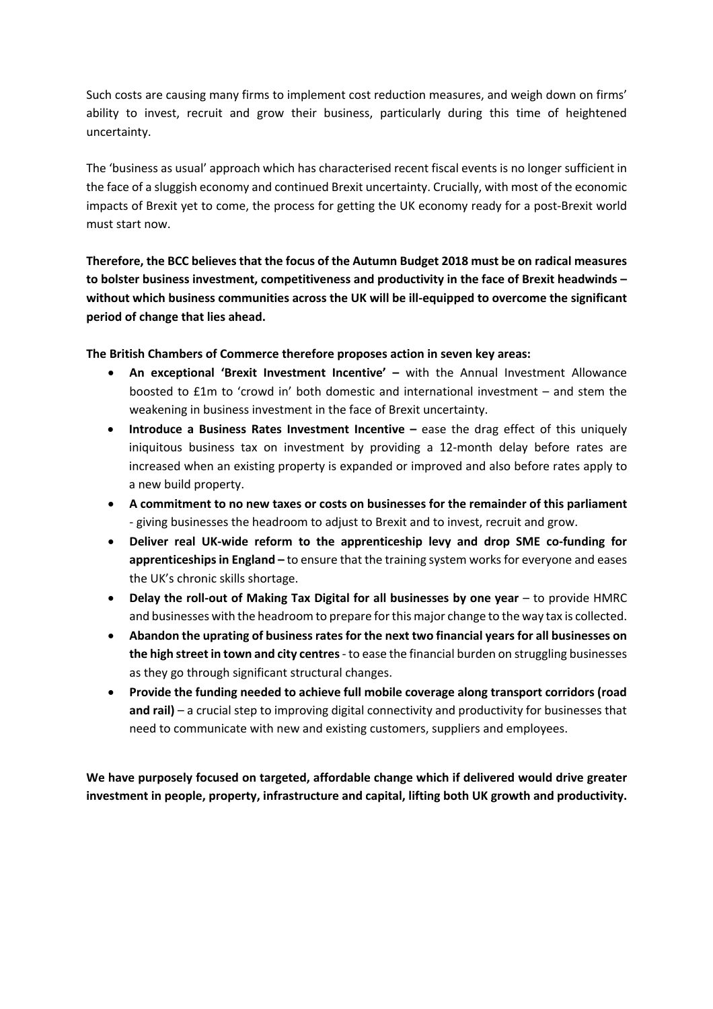Such costs are causing many firms to implement cost reduction measures, and weigh down on firms' ability to invest, recruit and grow their business, particularly during this time of heightened uncertainty.

The 'business as usual' approach which has characterised recent fiscal events is no longer sufficient in the face of a sluggish economy and continued Brexit uncertainty. Crucially, with most of the economic impacts of Brexit yet to come, the process for getting the UK economy ready for a post-Brexit world must start now.

**Therefore, the BCC believes that the focus of the Autumn Budget 2018 must be on radical measures to bolster business investment, competitiveness and productivity in the face of Brexit headwinds – without which business communities across the UK will be ill-equipped to overcome the significant period of change that lies ahead.** 

**The British Chambers of Commerce therefore proposes action in seven key areas:**

- **An exceptional 'Brexit Investment Incentive' –** with the Annual Investment Allowance boosted to £1m to 'crowd in' both domestic and international investment – and stem the weakening in business investment in the face of Brexit uncertainty.
- **Introduce a Business Rates Investment Incentive –** ease the drag effect of this uniquely iniquitous business tax on investment by providing a 12-month delay before rates are increased when an existing property is expanded or improved and also before rates apply to a new build property.
- **A commitment to no new taxes or costs on businesses for the remainder of this parliament** - giving businesses the headroom to adjust to Brexit and to invest, recruit and grow.
- **Deliver real UK-wide reform to the apprenticeship levy and drop SME co-funding for apprenticeships in England –** to ensure that the training system works for everyone and eases the UK's chronic skills shortage.
- **Delay the roll-out of Making Tax Digital for all businesses by one year** to provide HMRC and businesses with the headroom to prepare for this major change to the way tax is collected.
- **Abandon the uprating of business rates for the next two financial years for all businesses on the high street in town and city centres**- to ease the financial burden on struggling businesses as they go through significant structural changes.
- **Provide the funding needed to achieve full mobile coverage along transport corridors (road and rail)** – a crucial step to improving digital connectivity and productivity for businesses that need to communicate with new and existing customers, suppliers and employees.

**We have purposely focused on targeted, affordable change which if delivered would drive greater investment in people, property, infrastructure and capital, lifting both UK growth and productivity.**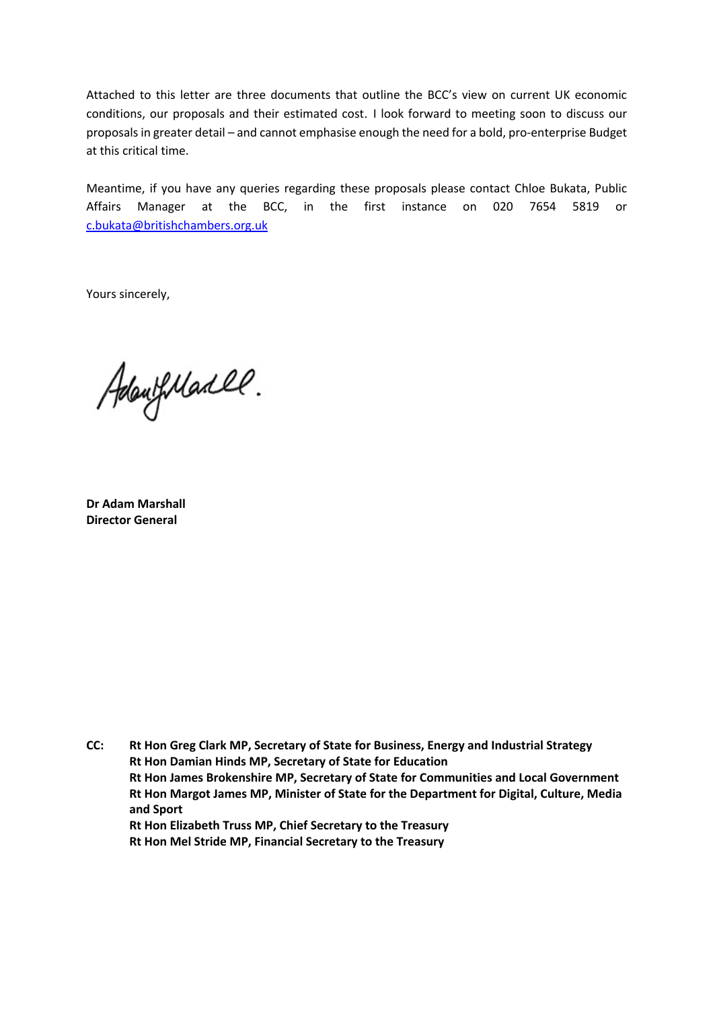Attached to this letter are three documents that outline the BCC's view on current UK economic conditions, our proposals and their estimated cost. I look forward to meeting soon to discuss our proposals in greater detail – and cannot emphasise enough the need for a bold, pro-enterprise Budget at this critical time.

Meantime, if you have any queries regarding these proposals please contact Chloe Bukata, Public Affairs Manager at the BCC, in the first instance on 020 7654 5819 or c.bukata@britishchambers.org.uk

Yours sincerely,

AdaufMarll.

**Dr Adam Marshall Director General**

**CC: Rt Hon Greg Clark MP, Secretary of State for Business, Energy and Industrial Strategy Rt Hon Damian Hinds MP, Secretary of State for Education Rt Hon James Brokenshire MP, Secretary of State for Communities and Local Government Rt Hon Margot James MP, Minister of State for the Department for Digital, Culture, Media and Sport Rt Hon Elizabeth Truss MP, Chief Secretary to the Treasury Rt Hon Mel Stride MP, Financial Secretary to the Treasury**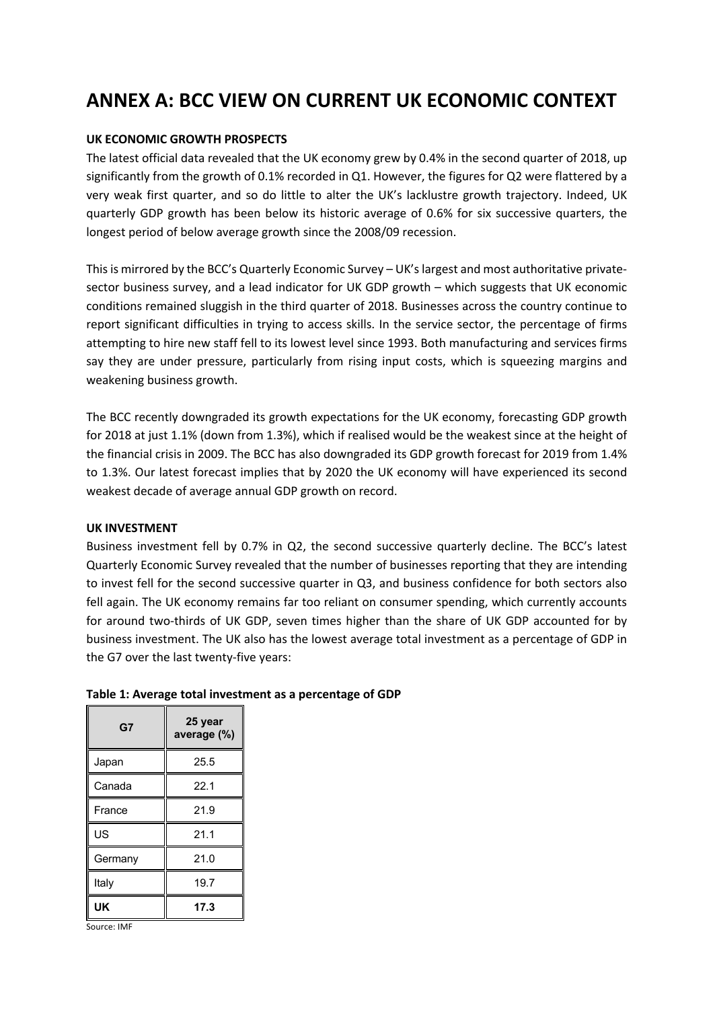# **ANNEX A: BCC VIEW ON CURRENT UK ECONOMIC CONTEXT**

### **UK ECONOMIC GROWTH PROSPECTS**

The latest official data revealed that the UK economy grew by 0.4% in the second quarter of 2018, up significantly from the growth of 0.1% recorded in Q1. However, the figures for Q2 were flattered by a very weak first quarter, and so do little to alter the UK's lacklustre growth trajectory. Indeed, UK quarterly GDP growth has been below its historic average of 0.6% for six successive quarters, the longest period of below average growth since the 2008/09 recession.

This is mirrored by the BCC's Quarterly Economic Survey – UK's largest and most authoritative privatesector business survey, and a lead indicator for UK GDP growth – which suggests that UK economic conditions remained sluggish in the third quarter of 2018. Businesses across the country continue to report significant difficulties in trying to access skills. In the service sector, the percentage of firms attempting to hire new staff fell to its lowest level since 1993. Both manufacturing and services firms say they are under pressure, particularly from rising input costs, which is squeezing margins and weakening business growth.

The BCC recently downgraded its growth expectations for the UK economy, forecasting GDP growth for 2018 at just 1.1% (down from 1.3%), which if realised would be the weakest since at the height of the financial crisis in 2009. The BCC has also downgraded its GDP growth forecast for 2019 from 1.4% to 1.3%. Our latest forecast implies that by 2020 the UK economy will have experienced its second weakest decade of average annual GDP growth on record.

#### **UK INVESTMENT**

Business investment fell by 0.7% in Q2, the second successive quarterly decline. The BCC's latest Quarterly Economic Survey revealed that the number of businesses reporting that they are intending to invest fell for the second successive quarter in Q3, and business confidence for both sectors also fell again. The UK economy remains far too reliant on consumer spending, which currently accounts for around two-thirds of UK GDP, seven times higher than the share of UK GDP accounted for by business investment. The UK also has the lowest average total investment as a percentage of GDP in the G7 over the last twenty-five years:

| G7      | 25 year<br>average (%) |  |  |  |
|---------|------------------------|--|--|--|
| Japan   | 25.5                   |  |  |  |
| Canada  | 22.1                   |  |  |  |
| France  | 21.9                   |  |  |  |
| US      | 21.1                   |  |  |  |
| Germany | 21.0                   |  |  |  |
| Italy   | 19.7                   |  |  |  |
| UK      | 17.3                   |  |  |  |

## **Table 1: Average total investment as a percentage of GDP**

Source: IMF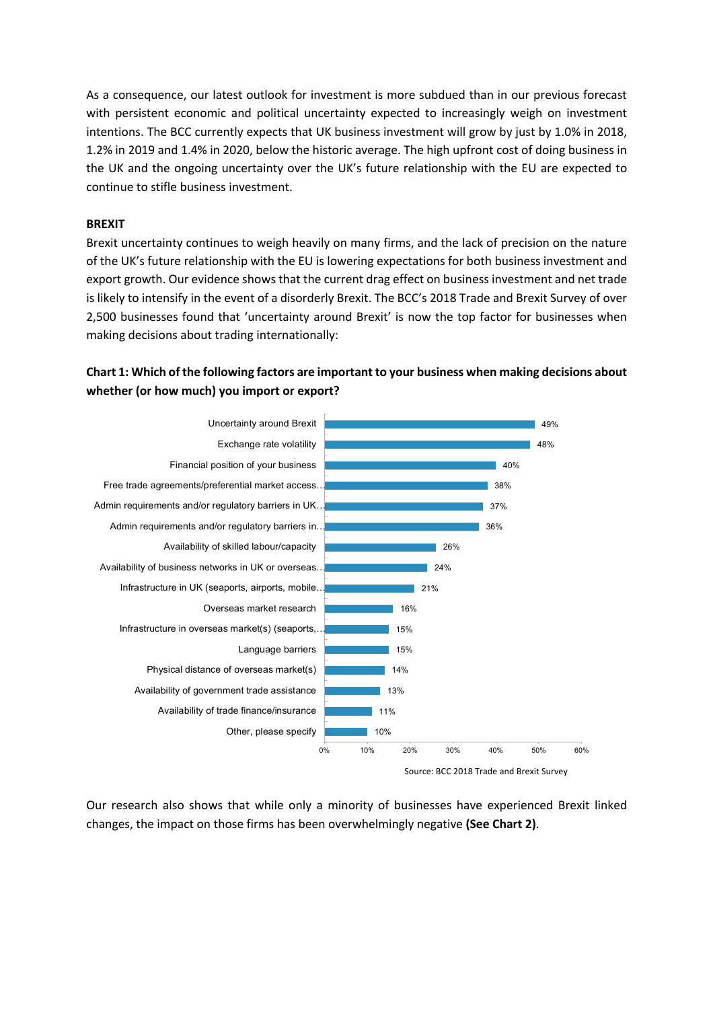As a consequence, our latest outlook for investment is more subdued than in our previous forecast with persistent economic and political uncertainty expected to increasingly weigh on investment intentions. The BCC currently expects that UK business investment will grow by just by 1.0% in 2018, 1.2% in 2019 and 1.4% in 2020, below the historic average. The high upfront cost of doing business in the UK and the ongoing uncertainty over the UK's future relationship with the EU are expected to continue to stifle business investment.

#### **BREXIT**

Brexit uncertainty continues to weigh heavily on many firms, and the lack of precision on the nature of the UK's future relationship with the EU is lowering expectations for both business investment and export growth. Our evidence shows that the current drag effect on business investment and net trade is likely to intensify in the event of a disorderly Brexit. The BCC's 2018 Trade and Brexit Survey of over 2,500 businesses found that 'uncertainty around Brexit' is now the top factor for businesses when making decisions about trading internationally:

# **Chart 1: Which of the following factors are important to your business when making decisions about whether (or how much) you import or export?**



Our research also shows that while only a minority of businesses have experienced Brexit linked changes, the impact on those firms has been overwhelmingly negative **(See Chart 2)**.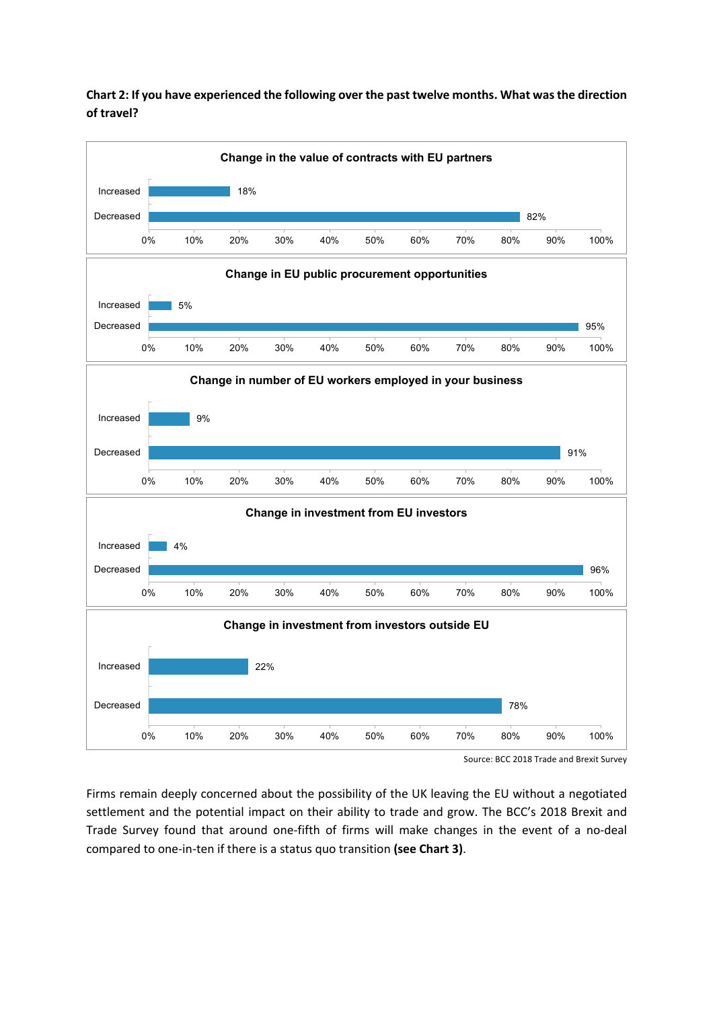# **Chart 2: If you have experienced the following over the past twelve months. What was the direction of travel?**



Source: BCC 2018 Trade and Brexit Survey

Firms remain deeply concerned about the possibility of the UK leaving the EU without a negotiated settlement and the potential impact on their ability to trade and grow. The BCC's 2018 Brexit and Trade Survey found that around one-fifth of firms will make changes in the event of a no-deal compared to one-in-ten if there is a status quo transition **(see Chart 3)**.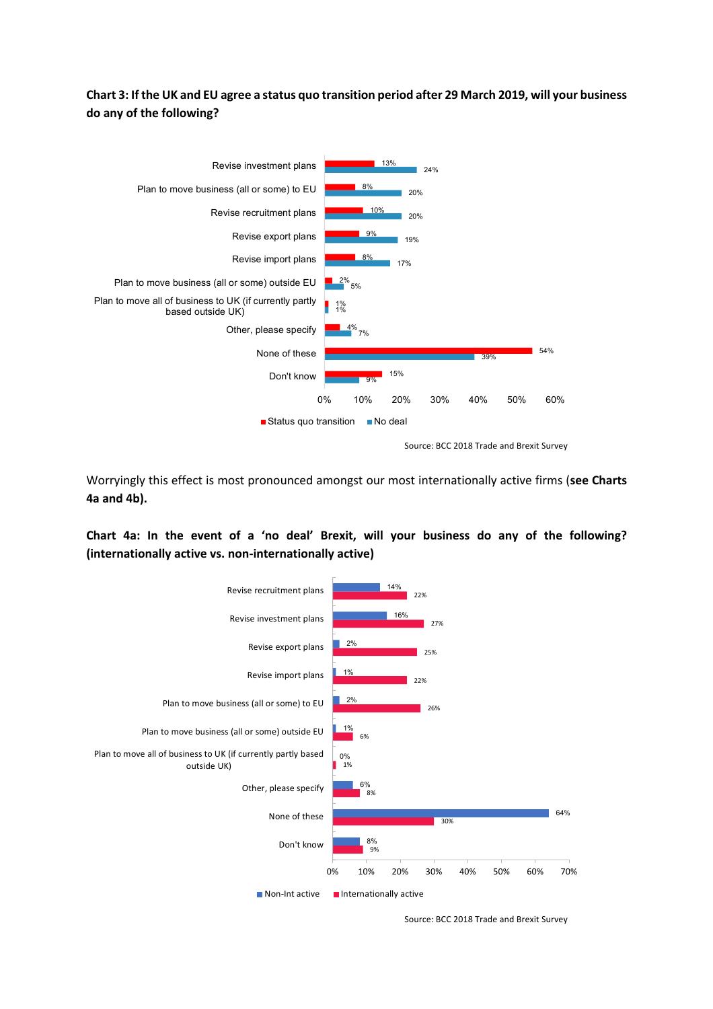# **Chart 3: If the UK and EU agree a status quo transition period after 29 March 2019, will your business do any of the following?**



Worryingly this effect is most pronounced amongst our most internationally active firms (**see Charts 4a and 4b).**

**Chart 4a: In the event of a 'no deal' Brexit, will your business do any of the following? (internationally active vs. non-internationally active)**



Source: BCC 2018 Trade and Brexit Survey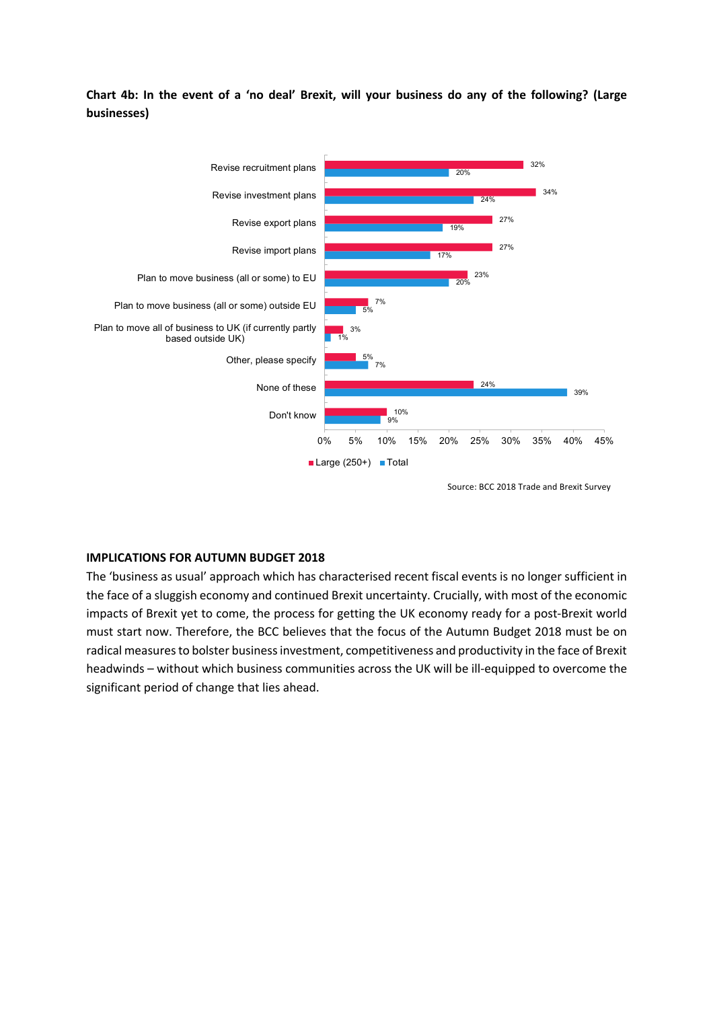**Chart 4b: In the event of a 'no deal' Brexit, will your business do any of the following? (Large businesses)**



#### **IMPLICATIONS FOR AUTUMN BUDGET 2018**

The 'business as usual' approach which has characterised recent fiscal events is no longer sufficient in the face of a sluggish economy and continued Brexit uncertainty. Crucially, with most of the economic impacts of Brexit yet to come, the process for getting the UK economy ready for a post-Brexit world must start now. Therefore, the BCC believes that the focus of the Autumn Budget 2018 must be on radical measures to bolster business investment, competitiveness and productivity in the face of Brexit headwinds – without which business communities across the UK will be ill-equipped to overcome the significant period of change that lies ahead.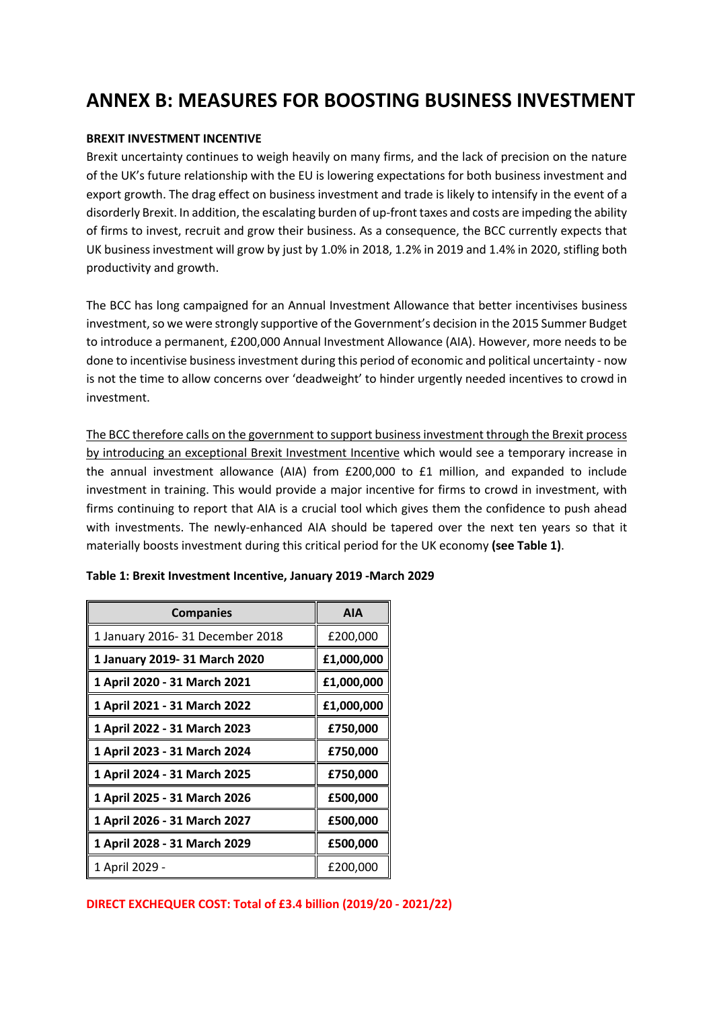# **ANNEX B: MEASURES FOR BOOSTING BUSINESS INVESTMENT**

#### **BREXIT INVESTMENT INCENTIVE**

Brexit uncertainty continues to weigh heavily on many firms, and the lack of precision on the nature of the UK's future relationship with the EU is lowering expectations for both business investment and export growth. The drag effect on business investment and trade is likely to intensify in the event of a disorderly Brexit. In addition, the escalating burden of up-front taxes and costs are impeding the ability of firms to invest, recruit and grow their business. As a consequence, the BCC currently expects that UK business investment will grow by just by 1.0% in 2018, 1.2% in 2019 and 1.4% in 2020, stifling both productivity and growth.

The BCC has long campaigned for an Annual Investment Allowance that better incentivises business investment, so we were strongly supportive of the Government's decision in the 2015 Summer Budget to introduce a permanent, £200,000 Annual Investment Allowance (AIA). However, more needs to be done to incentivise business investment during this period of economic and political uncertainty - now is not the time to allow concerns over 'deadweight' to hinder urgently needed incentives to crowd in investment.

The BCC therefore calls on the government to support business investment through the Brexit process by introducing an exceptional Brexit Investment Incentive which would see a temporary increase in the annual investment allowance (AIA) from £200,000 to £1 million, and expanded to include investment in training. This would provide a major incentive for firms to crowd in investment, with firms continuing to report that AIA is a crucial tool which gives them the confidence to push ahead with investments. The newly-enhanced AIA should be tapered over the next ten years so that it materially boosts investment during this critical period for the UK economy **(see Table 1)**.

| <b>Companies</b>                 | <b>AIA</b> |
|----------------------------------|------------|
| 1 January 2016- 31 December 2018 | £200,000   |
| 1 January 2019- 31 March 2020    | £1,000,000 |
| 1 April 2020 - 31 March 2021     | £1,000,000 |
| 1 April 2021 - 31 March 2022     | £1,000,000 |
| 1 April 2022 - 31 March 2023     | £750,000   |
| 1 April 2023 - 31 March 2024     | £750,000   |
| 1 April 2024 - 31 March 2025     | £750,000   |
| 1 April 2025 - 31 March 2026     | £500,000   |
| 1 April 2026 - 31 March 2027     | £500,000   |
| 1 April 2028 - 31 March 2029     | £500,000   |
| 1 April 2029 -                   | £200,000   |

#### **Table 1: Brexit Investment Incentive, January 2019 -March 2029**

**DIRECT EXCHEQUER COST: Total of £3.4 billion (2019/20 - 2021/22)**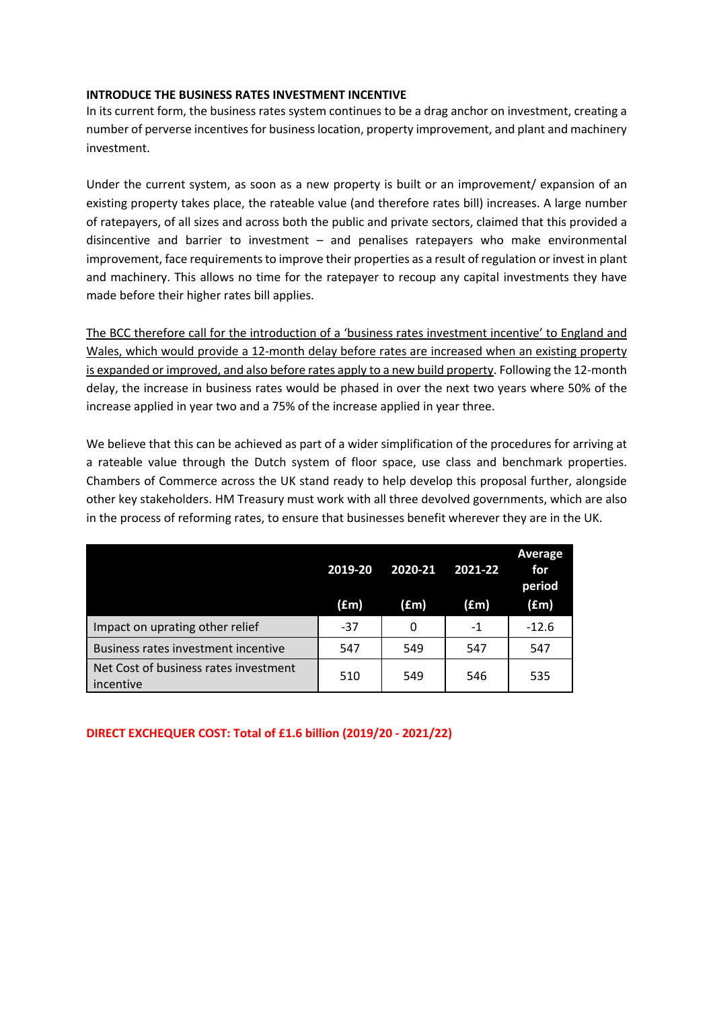#### **INTRODUCE THE BUSINESS RATES INVESTMENT INCENTIVE**

In its current form, the business rates system continues to be a drag anchor on investment, creating a number of perverse incentives for business location, property improvement, and plant and machinery investment.

Under the current system, as soon as a new property is built or an improvement/ expansion of an existing property takes place, the rateable value (and therefore rates bill) increases. A large number of ratepayers, of all sizes and across both the public and private sectors, claimed that this provided a disincentive and barrier to investment – and penalises ratepayers who make environmental improvement, face requirements to improve their properties as a result of regulation or invest in plant and machinery. This allows no time for the ratepayer to recoup any capital investments they have made before their higher rates bill applies.

The BCC therefore call for the introduction of a 'business rates investment incentive' to England and Wales, which would provide a 12-month delay before rates are increased when an existing property is expanded or improved, and also before rates apply to a new build property. Following the 12-month delay, the increase in business rates would be phased in over the next two years where 50% of the increase applied in year two and a 75% of the increase applied in year three.

We believe that this can be achieved as part of a wider simplification of the procedures for arriving at a rateable value through the Dutch system of floor space, use class and benchmark properties. Chambers of Commerce across the UK stand ready to help develop this proposal further, alongside other key stakeholders. HM Treasury must work with all three devolved governments, which are also in the process of reforming rates, to ensure that businesses benefit wherever they are in the UK.

|                                                    | 2019-20 | 2020-21 | 2021-22       | Average<br>for<br>period |
|----------------------------------------------------|---------|---------|---------------|--------------------------|
|                                                    | (£m)    | (£m)    | $(\text{fm})$ | (fm)                     |
| Impact on uprating other relief                    | $-37$   | 0       | $-1$          | $-12.6$                  |
| Business rates investment incentive                | 547     | 549     | 547           | 547                      |
| Net Cost of business rates investment<br>incentive | 510     | 549     | 546           | 535                      |

**DIRECT EXCHEQUER COST: Total of £1.6 billion (2019/20 - 2021/22)**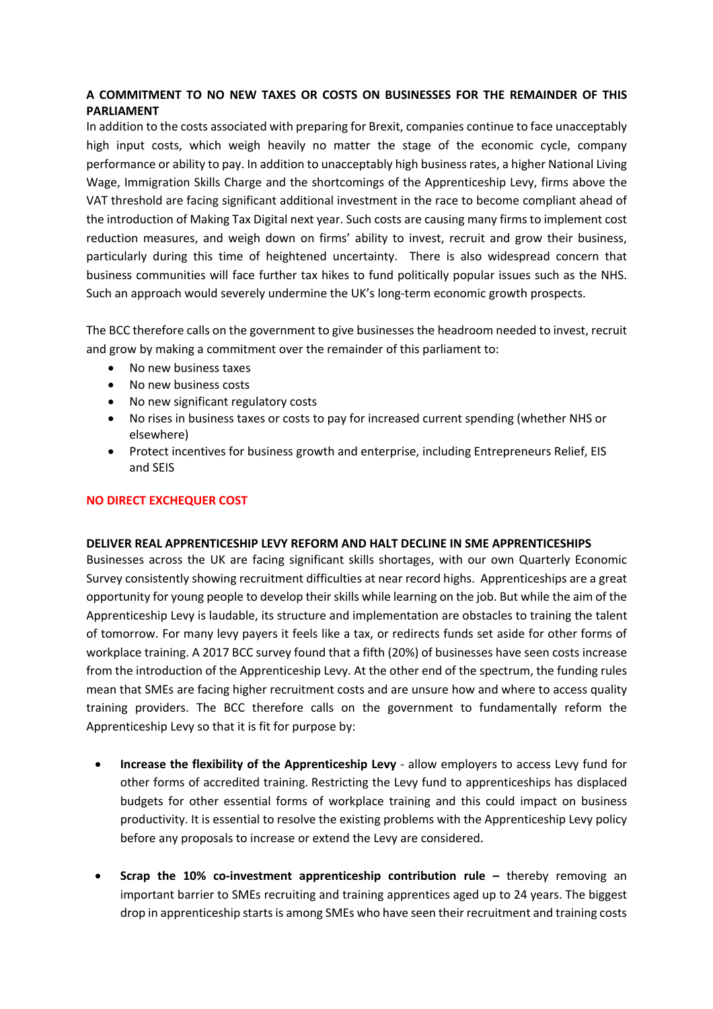## **A COMMITMENT TO NO NEW TAXES OR COSTS ON BUSINESSES FOR THE REMAINDER OF THIS PARLIAMENT**

In addition to the costs associated with preparing for Brexit, companies continue to face unacceptably high input costs, which weigh heavily no matter the stage of the economic cycle, company performance or ability to pay. In addition to unacceptably high business rates, a higher National Living Wage, Immigration Skills Charge and the shortcomings of the Apprenticeship Levy, firms above the VAT threshold are facing significant additional investment in the race to become compliant ahead of the introduction of Making Tax Digital next year. Such costs are causing many firms to implement cost reduction measures, and weigh down on firms' ability to invest, recruit and grow their business, particularly during this time of heightened uncertainty. There is also widespread concern that business communities will face further tax hikes to fund politically popular issues such as the NHS. Such an approach would severely undermine the UK's long-term economic growth prospects.

The BCC therefore calls on the government to give businesses the headroom needed to invest, recruit and grow by making a commitment over the remainder of this parliament to:

- No new business taxes
- No new business costs
- No new significant regulatory costs
- No rises in business taxes or costs to pay for increased current spending (whether NHS or elsewhere)
- Protect incentives for business growth and enterprise, including Entrepreneurs Relief, EIS and SEIS

### **NO DIRECT EXCHEQUER COST**

#### **DELIVER REAL APPRENTICESHIP LEVY REFORM AND HALT DECLINE IN SME APPRENTICESHIPS**

Businesses across the UK are facing significant skills shortages, with our own Quarterly Economic Survey consistently showing recruitment difficulties at near record highs. Apprenticeships are a great opportunity for young people to develop their skills while learning on the job. But while the aim of the Apprenticeship Levy is laudable, its structure and implementation are obstacles to training the talent of tomorrow. For many levy payers it feels like a tax, or redirects funds set aside for other forms of workplace training. A 2017 BCC survey found that a fifth (20%) of businesses have seen costs increase from the introduction of the Apprenticeship Levy. At the other end of the spectrum, the funding rules mean that SMEs are facing higher recruitment costs and are unsure how and where to access quality training providers. The BCC therefore calls on the government to fundamentally reform the Apprenticeship Levy so that it is fit for purpose by:

- **Increase the flexibility of the Apprenticeship Levy** allow employers to access Levy fund for other forms of accredited training. Restricting the Levy fund to apprenticeships has displaced budgets for other essential forms of workplace training and this could impact on business productivity. It is essential to resolve the existing problems with the Apprenticeship Levy policy before any proposals to increase or extend the Levy are considered.
- **Scrap the 10% co-investment apprenticeship contribution rule –** thereby removing an important barrier to SMEs recruiting and training apprentices aged up to 24 years. The biggest drop in apprenticeship starts is among SMEs who have seen their recruitment and training costs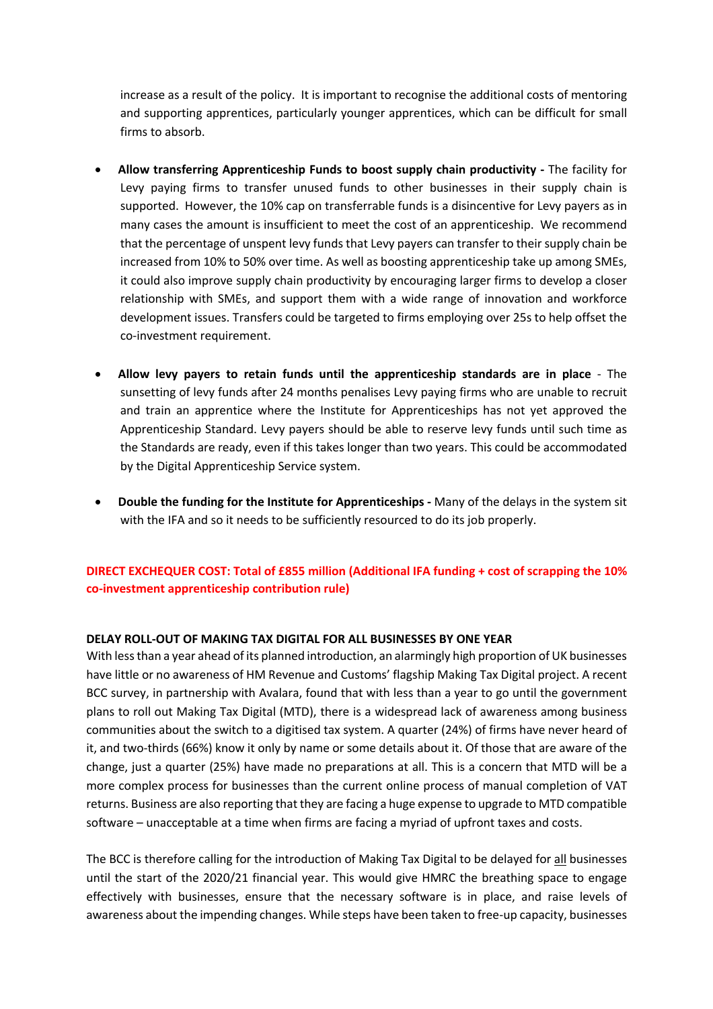increase as a result of the policy. It is important to recognise the additional costs of mentoring and supporting apprentices, particularly younger apprentices, which can be difficult for small firms to absorb.

- • **Allow transferring Apprenticeship Funds to boost supply chain productivity -** The facility for Levy paying firms to transfer unused funds to other businesses in their supply chain is supported. However, the 10% cap on transferrable funds is a disincentive for Levy payers as in many cases the amount is insufficient to meet the cost of an apprenticeship. We recommend that the percentage of unspent levy funds that Levy payers can transfer to their supply chain be increased from 10% to 50% over time. As well as boosting apprenticeship take up among SMEs, it could also improve supply chain productivity by encouraging larger firms to develop a closer relationship with SMEs, and support them with a wide range of innovation and workforce development issues. Transfers could be targeted to firms employing over 25s to help offset the co-investment requirement.
- **Allow levy payers to retain funds until the apprenticeship standards are in place** The sunsetting of levy funds after 24 months penalises Levy paying firms who are unable to recruit and train an apprentice where the Institute for Apprenticeships has not yet approved the Apprenticeship Standard. Levy payers should be able to reserve levy funds until such time as the Standards are ready, even if this takes longer than two years. This could be accommodated by the Digital Apprenticeship Service system.
- • **Double the funding for the Institute for Apprenticeships -** Many of the delays in the system sit with the IFA and so it needs to be sufficiently resourced to do its job properly.

# **DIRECT EXCHEQUER COST: Total of £855 million (Additional IFA funding + cost of scrapping the 10% co-investment apprenticeship contribution rule)**

#### **DELAY ROLL-OUT OF MAKING TAX DIGITAL FOR ALL BUSINESSES BY ONE YEAR**

With less than a year ahead of its planned introduction, an alarmingly high proportion of UK businesses have little or no awareness of HM Revenue and Customs' flagship Making Tax Digital project. A recent BCC survey, in partnership with Avalara, found that with less than a year to go until the government plans to roll out Making Tax Digital (MTD), there is a widespread lack of awareness among business communities about the switch to a digitised tax system. A quarter (24%) of firms have never heard of it, and two-thirds (66%) know it only by name or some details about it. Of those that are aware of the change, just a quarter (25%) have made no preparations at all. This is a concern that MTD will be a more complex process for businesses than the current online process of manual completion of VAT returns. Business are also reporting that they are facing a huge expense to upgrade to MTD compatible software – unacceptable at a time when firms are facing a myriad of upfront taxes and costs.

The BCC is therefore calling for the introduction of Making Tax Digital to be delayed for all businesses until the start of the 2020/21 financial year. This would give HMRC the breathing space to engage effectively with businesses, ensure that the necessary software is in place, and raise levels of awareness about the impending changes. While steps have been taken to free-up capacity, businesses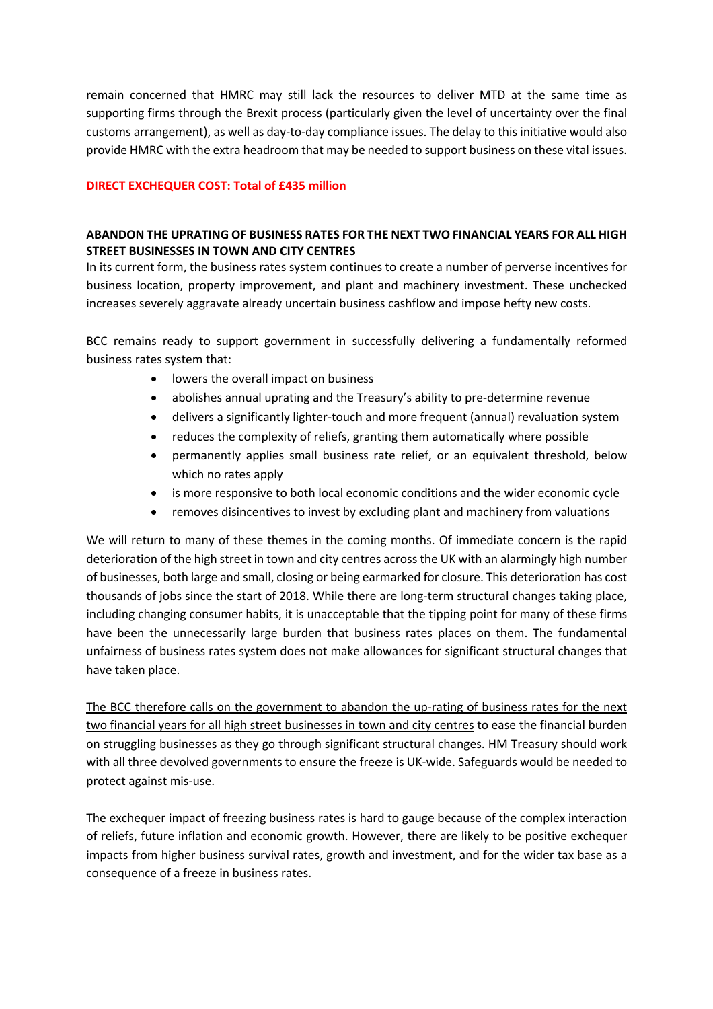remain concerned that HMRC may still lack the resources to deliver MTD at the same time as supporting firms through the Brexit process (particularly given the level of uncertainty over the final customs arrangement), as well as day-to-day compliance issues. The delay to this initiative would also provide HMRC with the extra headroom that may be needed to support business on these vital issues.

#### **DIRECT EXCHEQUER COST: Total of £435 million**

## **ABANDON THE UPRATING OF BUSINESS RATES FOR THE NEXT TWO FINANCIAL YEARS FOR ALL HIGH STREET BUSINESSES IN TOWN AND CITY CENTRES**

In its current form, the business rates system continues to create a number of perverse incentives for business location, property improvement, and plant and machinery investment. These unchecked increases severely aggravate already uncertain business cashflow and impose hefty new costs.

BCC remains ready to support government in successfully delivering a fundamentally reformed business rates system that:

- lowers the overall impact on business
- abolishes annual uprating and the Treasury's ability to pre-determine revenue
- delivers a significantly lighter-touch and more frequent (annual) revaluation system
- reduces the complexity of reliefs, granting them automatically where possible
- permanently applies small business rate relief, or an equivalent threshold, below which no rates apply
- is more responsive to both local economic conditions and the wider economic cycle
- removes disincentives to invest by excluding plant and machinery from valuations

We will return to many of these themes in the coming months. Of immediate concern is the rapid deterioration of the high street in town and city centres across the UK with an alarmingly high number of businesses, both large and small, closing or being earmarked for closure. This deterioration has cost thousands of jobs since the start of 2018. While there are long-term structural changes taking place, including changing consumer habits, it is unacceptable that the tipping point for many of these firms have been the unnecessarily large burden that business rates places on them. The fundamental unfairness of business rates system does not make allowances for significant structural changes that have taken place.

The BCC therefore calls on the government to abandon the up-rating of business rates for the next two financial years for all high street businesses in town and city centres to ease the financial burden on struggling businesses as they go through significant structural changes. HM Treasury should work with all three devolved governments to ensure the freeze is UK-wide. Safeguards would be needed to protect against mis-use.

The exchequer impact of freezing business rates is hard to gauge because of the complex interaction of reliefs, future inflation and economic growth. However, there are likely to be positive exchequer impacts from higher business survival rates, growth and investment, and for the wider tax base as a consequence of a freeze in business rates.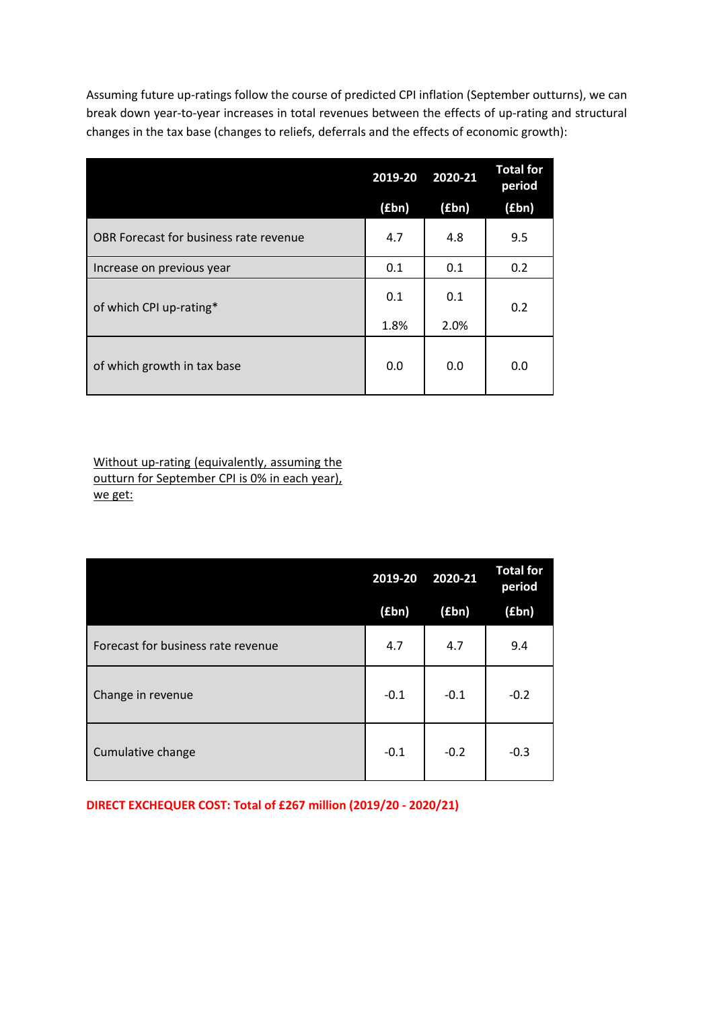Assuming future up-ratings follow the course of predicted CPI inflation (September outturns), we can break down year-to-year increases in total revenues between the effects of up-rating and structural changes in the tax base (changes to reliefs, deferrals and the effects of economic growth):

|                                        | 2019-20 | 2020-21 | <b>Total for</b><br>period |  |
|----------------------------------------|---------|---------|----------------------------|--|
|                                        | (£bn)   | (£bn)   | (f(bn))                    |  |
| OBR Forecast for business rate revenue | 4.7     | 4.8     | 9.5                        |  |
| Increase on previous year              | 0.1     | 0.1     | 0.2                        |  |
| of which CPI up-rating*                | 0.1     | 0.1     | 0.2                        |  |
|                                        | 1.8%    | 2.0%    |                            |  |
| of which growth in tax base            | 0.0     | 0.0     | 0.0                        |  |

Without up-rating (equivalently, assuming the outturn for September CPI is 0% in each year), we get:

|                                    | 2019-20 | 2020-21 | <b>Total for</b><br>period |
|------------------------------------|---------|---------|----------------------------|
|                                    | (£bn)   | (£bn)   | (f(bn))                    |
| Forecast for business rate revenue | 4.7     | 4.7     | 9.4                        |
| Change in revenue                  | $-0.1$  | $-0.1$  | $-0.2$                     |
| Cumulative change                  | $-0.1$  | $-0.2$  | $-0.3$                     |

**DIRECT EXCHEQUER COST: Total of £267 million (2019/20 - 2020/21)**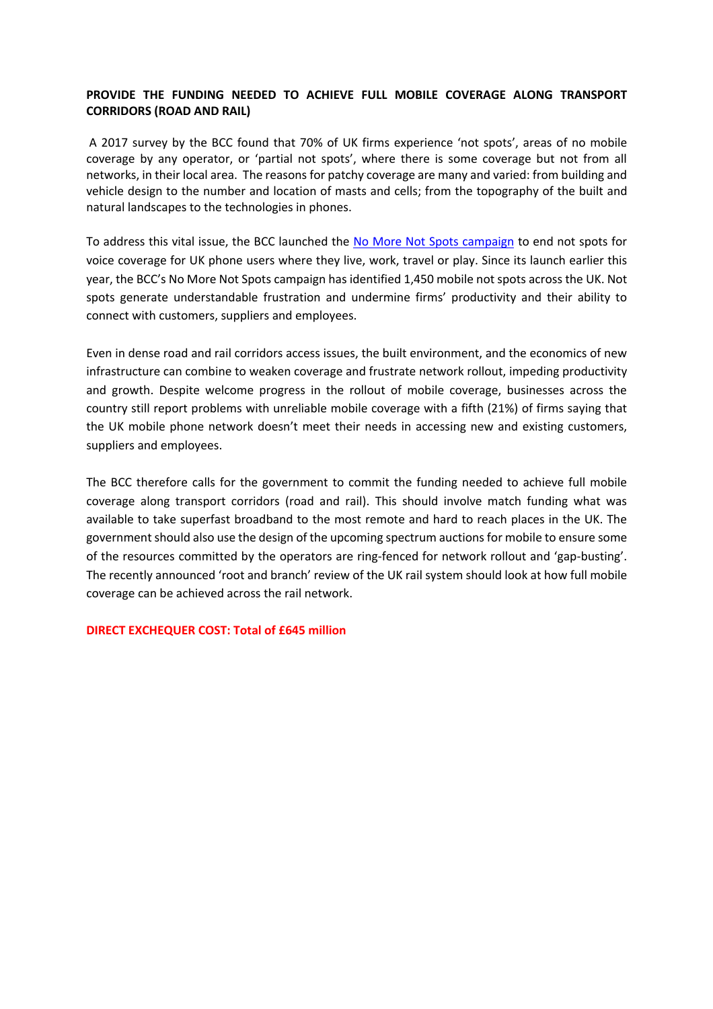## **PROVIDE THE FUNDING NEEDED TO ACHIEVE FULL MOBILE COVERAGE ALONG TRANSPORT CORRIDORS (ROAD AND RAIL)**

A 2017 survey by the BCC found that 70% of UK firms experience 'not spots', areas of no mobile coverage by any operator, or 'partial not spots', where there is some coverage but not from all networks, in their local area. The reasons for patchy coverage are many and varied: from building and vehicle design to the number and location of masts and cells; from the topography of the built and natural landscapes to the technologies in phones.

To address this vital issue, the BCC launched the No More Not Spots campaign to end not spots for voice coverage for UK phone users where they live, work, travel or play. Since its launch earlier this year, the BCC's No More Not Spots campaign has identified 1,450 mobile not spots across the UK. Not spots generate understandable frustration and undermine firms' productivity and their ability to connect with customers, suppliers and employees.

Even in dense road and rail corridors access issues, the built environment, and the economics of new infrastructure can combine to weaken coverage and frustrate network rollout, impeding productivity and growth. Despite welcome progress in the rollout of mobile coverage, businesses across the country still report problems with unreliable mobile coverage with a fifth (21%) of firms saying that the UK mobile phone network doesn't meet their needs in accessing new and existing customers, suppliers and employees.

The BCC therefore calls for the government to commit the funding needed to achieve full mobile coverage along transport corridors (road and rail). This should involve match funding what was available to take superfast broadband to the most remote and hard to reach places in the UK. The government should also use the design of the upcoming spectrum auctions for mobile to ensure some of the resources committed by the operators are ring-fenced for network rollout and 'gap-busting'. The recently announced 'root and branch' review of the UK rail system should look at how full mobile coverage can be achieved across the rail network.

#### **DIRECT EXCHEQUER COST: Total of £645 million**